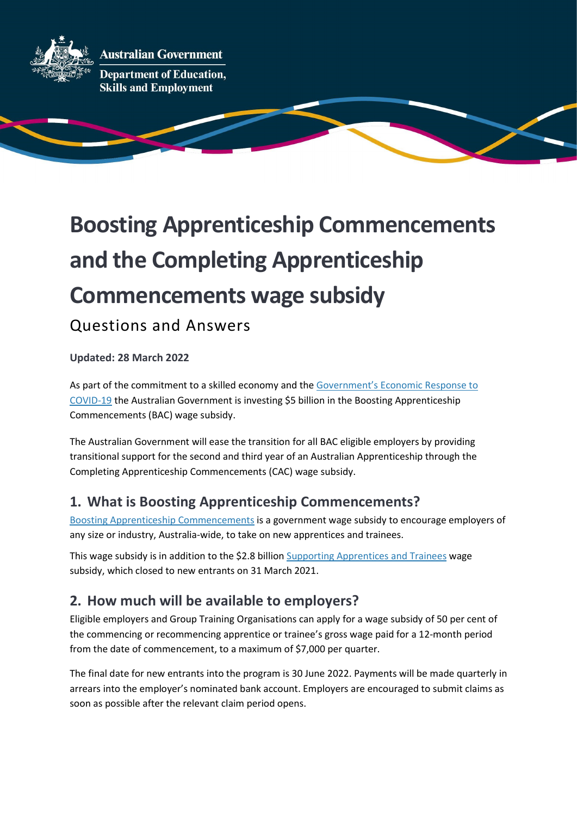

**Australian Government** 

**Department of Education, Skills and Employment** 

# Boosting Apprenticeship Commencements and the Completing Apprenticeship Commencements wage subsidy

Questions and Answers

Updated: 28 March 2022

As part of the commitment to a skilled economy and the Government's Economic Response to COVID-19 the Australian Government is investing \$5 billion in the Boosting Apprenticeship Commencements (BAC) wage subsidy.

The Australian Government will ease the transition for all BAC eligible employers by providing transitional support for the second and third year of an Australian Apprenticeship through the Completing Apprenticeship Commencements (CAC) wage subsidy.

#### 1. What is Boosting Apprenticeship Commencements?

Boosting Apprenticeship Commencements is a government wage subsidy to encourage employers of any size or industry, Australia-wide, to take on new apprentices and trainees.

This wage subsidy is in addition to the \$2.8 billion Supporting Apprentices and Trainees wage subsidy, which closed to new entrants on 31 March 2021.

#### 2. How much will be available to employers?

Eligible employers and Group Training Organisations can apply for a wage subsidy of 50 per cent of the commencing or recommencing apprentice or trainee's gross wage paid for a 12-month period from the date of commencement, to a maximum of \$7,000 per quarter. 

The final date for new entrants into the program is 30 June 2022. Payments will be made quarterly in arrears into the employer's nominated bank account. Employers are encouraged to submit claims as soon as possible after the relevant claim period opens.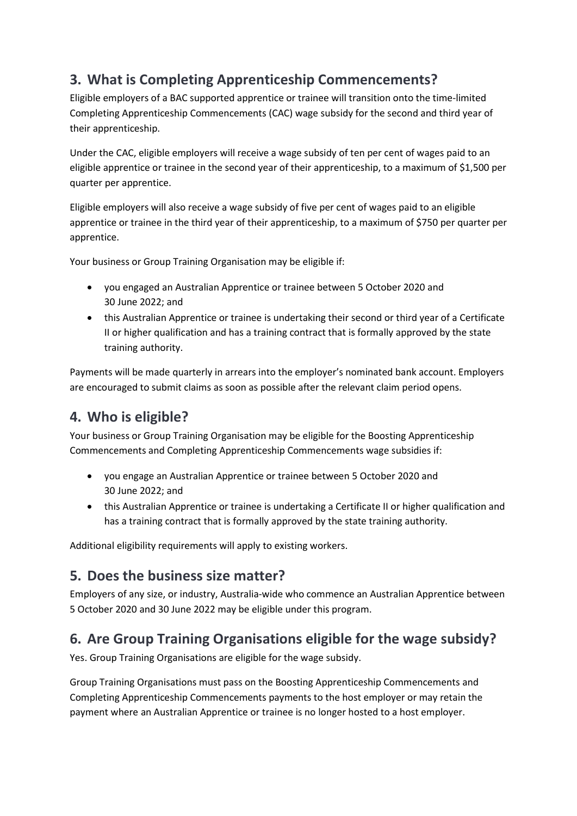### 3. What is Completing Apprenticeship Commencements?

Eligible employers of a BAC supported apprentice or trainee will transition onto the time-limited Completing Apprenticeship Commencements (CAC) wage subsidy for the second and third year of their apprenticeship.

Under the CAC, eligible employers will receive a wage subsidy of ten per cent of wages paid to an eligible apprentice or trainee in the second year of their apprenticeship, to a maximum of \$1,500 per quarter per apprentice.

Eligible employers will also receive a wage subsidy of five per cent of wages paid to an eligible apprentice or trainee in the third year of their apprenticeship, to a maximum of \$750 per quarter per apprentice.

Your business or Group Training Organisation may be eligible if:

- you engaged an Australian Apprentice or trainee between 5 October 2020 and 30 June 2022; and
- this Australian Apprentice or trainee is undertaking their second or third year of a Certificate II or higher qualification and has a training contract that is formally approved by the state training authority.

Payments will be made quarterly in arrears into the employer's nominated bank account. Employers are encouraged to submit claims as soon as possible after the relevant claim period opens.

#### 4. Who is eligible?

Your business or Group Training Organisation may be eligible for the Boosting Apprenticeship Commencements and Completing Apprenticeship Commencements wage subsidies if:

- you engage an Australian Apprentice or trainee between 5 October 2020 and 30 June 2022; and
- this Australian Apprentice or trainee is undertaking a Certificate II or higher qualification and has a training contract that is formally approved by the state training authority.

Additional eligibility requirements will apply to existing workers.

#### 5. Does the business size matter?

Employers of any size, or industry, Australia-wide who commence an Australian Apprentice between 5 October 2020 and 30 June 2022 may be eligible under this program.

#### 6. Are Group Training Organisations eligible for the wage subsidy?

Yes. Group Training Organisations are eligible for the wage subsidy.

Group Training Organisations must pass on the Boosting Apprenticeship Commencements and Completing Apprenticeship Commencements payments to the host employer or may retain the payment where an Australian Apprentice or trainee is no longer hosted to a host employer.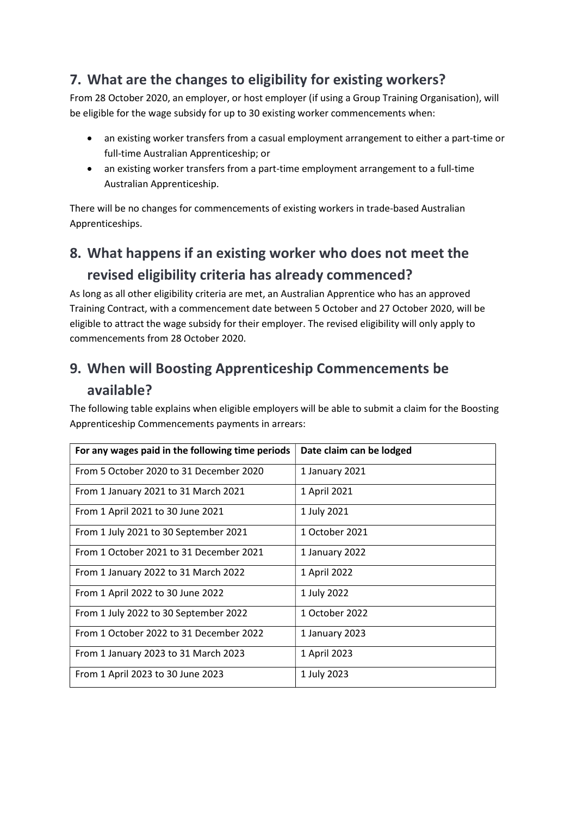#### 7. What are the changes to eligibility for existing workers?

From 28 October 2020, an employer, or host employer (if using a Group Training Organisation), will be eligible for the wage subsidy for up to 30 existing worker commencements when:

- an existing worker transfers from a casual employment arrangement to either a part-time or full-time Australian Apprenticeship; or
- an existing worker transfers from a part-time employment arrangement to a full-time Australian Apprenticeship.

There will be no changes for commencements of existing workers in trade-based Australian Apprenticeships.

# 8. What happens if an existing worker who does not meet the revised eligibility criteria has already commenced?

As long as all other eligibility criteria are met, an Australian Apprentice who has an approved Training Contract, with a commencement date between 5 October and 27 October 2020, will be eligible to attract the wage subsidy for their employer. The revised eligibility will only apply to commencements from 28 October 2020.

# 9. When will Boosting Apprenticeship Commencements be available?

The following table explains when eligible employers will be able to submit a claim for the Boosting Apprenticeship Commencements payments in arrears:

| For any wages paid in the following time periods | Date claim can be lodged |
|--------------------------------------------------|--------------------------|
| From 5 October 2020 to 31 December 2020          | 1 January 2021           |
| From 1 January 2021 to 31 March 2021             | 1 April 2021             |
| From 1 April 2021 to 30 June 2021                | 1 July 2021              |
| From 1 July 2021 to 30 September 2021            | 1 October 2021           |
| From 1 October 2021 to 31 December 2021          | 1 January 2022           |
| From 1 January 2022 to 31 March 2022             | 1 April 2022             |
| From 1 April 2022 to 30 June 2022                | 1 July 2022              |
| From 1 July 2022 to 30 September 2022            | 1 October 2022           |
| From 1 October 2022 to 31 December 2022          | 1 January 2023           |
| From 1 January 2023 to 31 March 2023             | 1 April 2023             |
| From 1 April 2023 to 30 June 2023                | 1 July 2023              |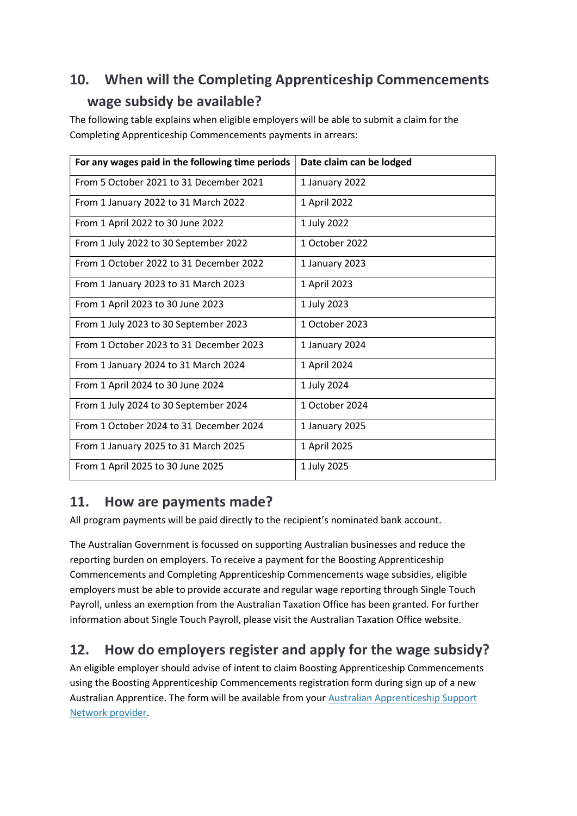# 10. When will the Completing Apprenticeship Commencements wage subsidy be available?

The following table explains when eligible employers will be able to submit a claim for the Completing Apprenticeship Commencements payments in arrears:

| For any wages paid in the following time periods | Date claim can be lodged |
|--------------------------------------------------|--------------------------|
| From 5 October 2021 to 31 December 2021          | 1 January 2022           |
| From 1 January 2022 to 31 March 2022             | 1 April 2022             |
| From 1 April 2022 to 30 June 2022                | 1 July 2022              |
| From 1 July 2022 to 30 September 2022            | 1 October 2022           |
| From 1 October 2022 to 31 December 2022          | 1 January 2023           |
| From 1 January 2023 to 31 March 2023             | 1 April 2023             |
| From 1 April 2023 to 30 June 2023                | 1 July 2023              |
| From 1 July 2023 to 30 September 2023            | 1 October 2023           |
| From 1 October 2023 to 31 December 2023          | 1 January 2024           |
| From 1 January 2024 to 31 March 2024             | 1 April 2024             |
| From 1 April 2024 to 30 June 2024                | 1 July 2024              |
| From 1 July 2024 to 30 September 2024            | 1 October 2024           |
| From 1 October 2024 to 31 December 2024          | 1 January 2025           |
| From 1 January 2025 to 31 March 2025             | 1 April 2025             |
| From 1 April 2025 to 30 June 2025                | 1 July 2025              |

#### 11. How are payments made?

All program payments will be paid directly to the recipient's nominated bank account.

The Australian Government is focussed on supporting Australian businesses and reduce the reporting burden on employers. To receive a payment for the Boosting Apprenticeship Commencements and Completing Apprenticeship Commencements wage subsidies, eligible employers must be able to provide accurate and regular wage reporting through Single Touch Payroll, unless an exemption from the Australian Taxation Office has been granted. For further information about Single Touch Payroll, please visit the Australian Taxation Office website.

## 12. How do employers register and apply for the wage subsidy?

An eligible employer should advise of intent to claim Boosting Apprenticeship Commencements using the Boosting Apprenticeship Commencements registration form during sign up of a new Australian Apprentice. The form will be available from your Australian Apprenticeship Support Network provider.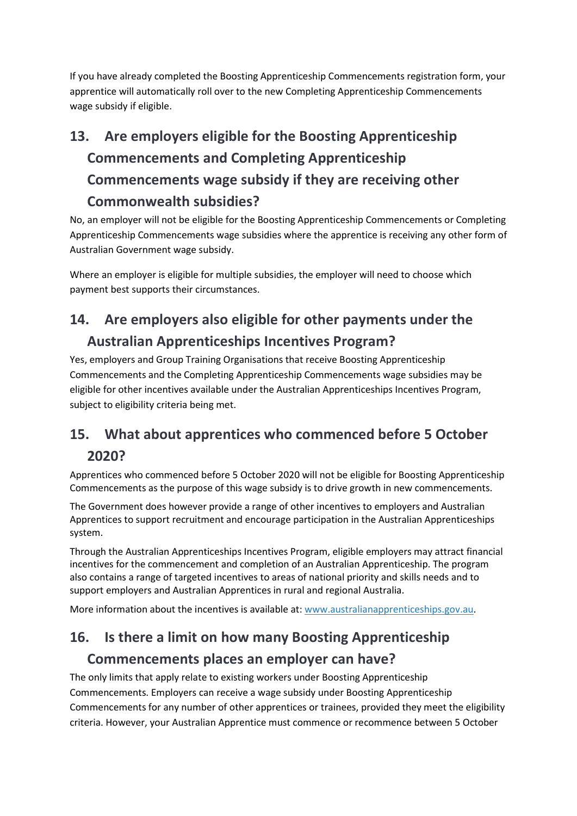If you have already completed the Boosting Apprenticeship Commencements registration form, your apprentice will automatically roll over to the new Completing Apprenticeship Commencements wage subsidy if eligible.

# 13. Are employers eligible for the Boosting Apprenticeship Commencements and Completing Apprenticeship Commencements wage subsidy if they are receiving other Commonwealth subsidies?

No, an employer will not be eligible for the Boosting Apprenticeship Commencements or Completing Apprenticeship Commencements wage subsidies where the apprentice is receiving any other form of Australian Government wage subsidy.

Where an employer is eligible for multiple subsidies, the employer will need to choose which payment best supports their circumstances.

# 14. Are employers also eligible for other payments under the Australian Apprenticeships Incentives Program?

Yes, employers and Group Training Organisations that receive Boosting Apprenticeship Commencements and the Completing Apprenticeship Commencements wage subsidies may be eligible for other incentives available under the Australian Apprenticeships Incentives Program, subject to eligibility criteria being met.

## 15. What about apprentices who commenced before 5 October 2020?

Apprentices who commenced before 5 October 2020 will not be eligible for Boosting Apprenticeship Commencements as the purpose of this wage subsidy is to drive growth in new commencements.

The Government does however provide a range of other incentives to employers and Australian Apprentices to support recruitment and encourage participation in the Australian Apprenticeships system.

Through the Australian Apprenticeships Incentives Program, eligible employers may attract financial incentives for the commencement and completion of an Australian Apprenticeship. The program also contains a range of targeted incentives to areas of national priority and skills needs and to support employers and Australian Apprentices in rural and regional Australia.

More information about the incentives is available at: www.australianapprenticeships.gov.au.

# 16. Is there a limit on how many Boosting Apprenticeship Commencements places an employer can have?

The only limits that apply relate to existing workers under Boosting Apprenticeship Commencements. Employers can receive a wage subsidy under Boosting Apprenticeship Commencements for any number of other apprentices or trainees, provided they meet the eligibility criteria. However, your Australian Apprentice must commence or recommence between 5 October